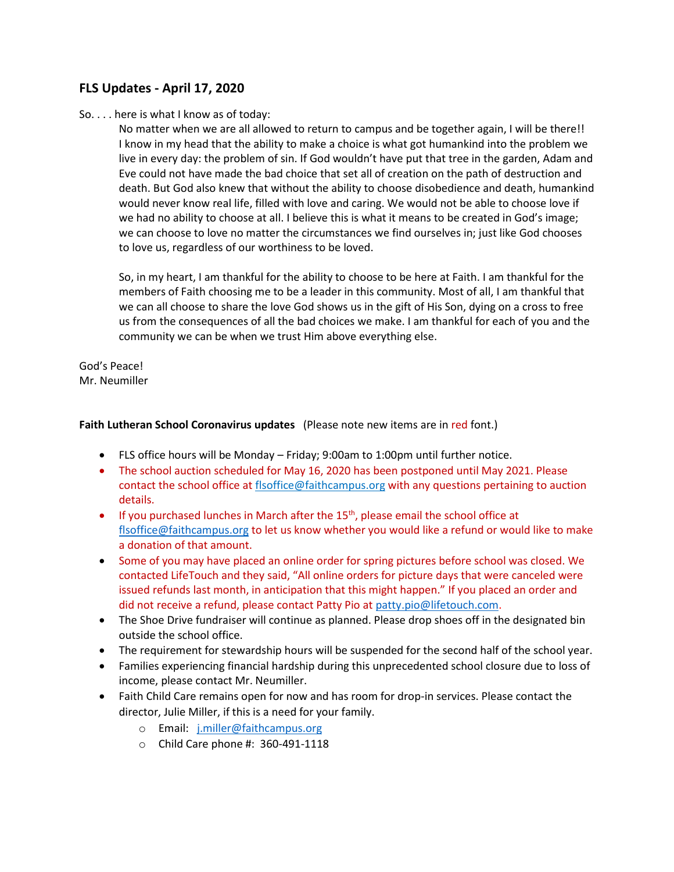# **FLS Updates - April 17, 2020**

#### So. . . . here is what I know as of today:

No matter when we are all allowed to return to campus and be together again, I will be there!! I know in my head that the ability to make a choice is what got humankind into the problem we live in every day: the problem of sin. If God wouldn't have put that tree in the garden, Adam and Eve could not have made the bad choice that set all of creation on the path of destruction and death. But God also knew that without the ability to choose disobedience and death, humankind would never know real life, filled with love and caring. We would not be able to choose love if we had no ability to choose at all. I believe this is what it means to be created in God's image; we can choose to love no matter the circumstances we find ourselves in; just like God chooses to love us, regardless of our worthiness to be loved.

So, in my heart, I am thankful for the ability to choose to be here at Faith. I am thankful for the members of Faith choosing me to be a leader in this community. Most of all, I am thankful that we can all choose to share the love God shows us in the gift of His Son, dying on a cross to free us from the consequences of all the bad choices we make. I am thankful for each of you and the community we can be when we trust Him above everything else.

God's Peace! Mr. Neumiller

#### **Faith Lutheran School Coronavirus updates** (Please note new items are in red font.)

- FLS office hours will be Monday Friday; 9:00am to 1:00pm until further notice.
- The school auction scheduled for May 16, 2020 has been postponed until May 2021. Please contact the school office at [flsoffice@faithcampus.org](mailto:flsoffice@faithcampus.org) with any questions pertaining to auction details.
- If you purchased lunches in March after the  $15<sup>th</sup>$ , please email the school office at [flsoffice@faithcampus.org](mailto:flsoffice@faithcampus.org) to let us know whether you would like a refund or would like to make a donation of that amount.
- Some of you may have placed an online order for spring pictures before school was closed. We contacted LifeTouch and they said, "All online orders for picture days that were canceled were issued refunds last month, in anticipation that this might happen." If you placed an order and did not receive a refund, please contact Patty Pio at [patty.pio@lifetouch.com.](mailto:patty.pio@lifetouch.com)
- The Shoe Drive fundraiser will continue as planned. Please drop shoes off in the designated bin outside the school office.
- The requirement for stewardship hours will be suspended for the second half of the school year.
- Families experiencing financial hardship during this unprecedented school closure due to loss of income, please contact Mr. Neumiller.
- Faith Child Care remains open for now and has room for drop-in services. Please contact the director, Julie Miller, if this is a need for your family.
	- o Email: [j.miller@faithcampus.org](mailto:j.miller@faithcampus.org)
	- o Child Care phone #: 360-491-1118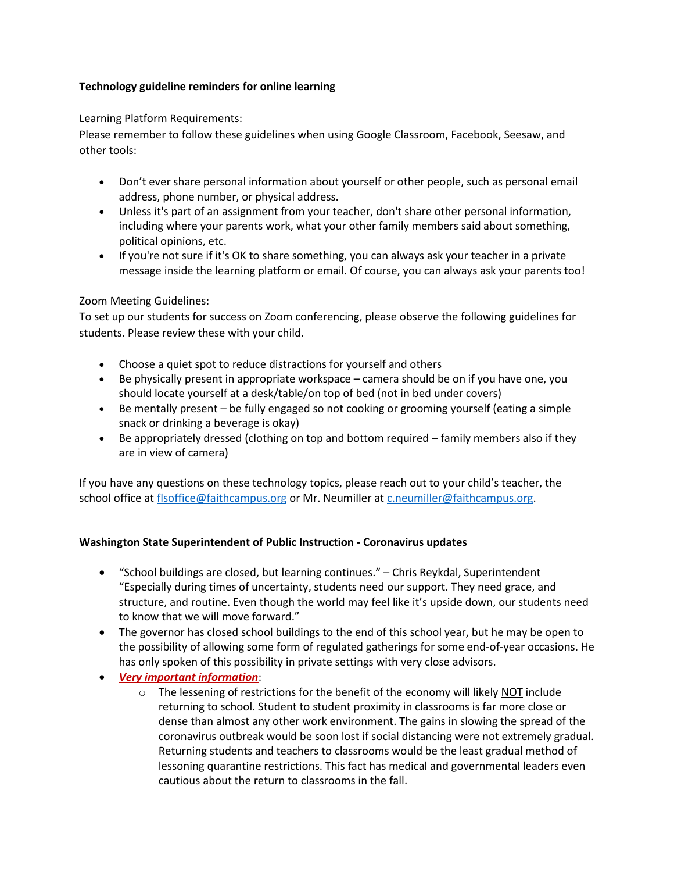# **Technology guideline reminders for online learning**

# Learning Platform Requirements:

Please remember to follow these guidelines when using Google Classroom, Facebook, Seesaw, and other tools:

- Don't ever share personal information about yourself or other people, such as personal email address, phone number, or physical address.
- Unless it's part of an assignment from your teacher, don't share other personal information, including where your parents work, what your other family members said about something, political opinions, etc.
- If you're not sure if it's OK to share something, you can always ask your teacher in a private message inside the learning platform or email. Of course, you can always ask your parents too!

## Zoom Meeting Guidelines:

To set up our students for success on Zoom conferencing, please observe the following guidelines for students. Please review these with your child.

- Choose a quiet spot to reduce distractions for yourself and others
- Be physically present in appropriate workspace camera should be on if you have one, you should locate yourself at a desk/table/on top of bed (not in bed under covers)
- Be mentally present be fully engaged so not cooking or grooming yourself (eating a simple snack or drinking a beverage is okay)
- Be appropriately dressed (clothing on top and bottom required family members also if they are in view of camera)

If you have any questions on these technology topics, please reach out to your child's teacher, the school office a[t flsoffice@faithcampus.org](mailto:flsoffice@faithcampus.org) or Mr. Neumiller a[t c.neumiller@faithcampus.org.](mailto:c.neumiller@faithcampus.org)

## **Washington State Superintendent of Public Instruction - Coronavirus updates**

- "School buildings are closed, but learning continues." Chris Reykdal, Superintendent "Especially during times of uncertainty, students need our support. They need grace, and structure, and routine. Even though the world may feel like it's upside down, our students need to know that we will move forward."
- The governor has closed school buildings to the end of this school year, but he may be open to the possibility of allowing some form of regulated gatherings for some end-of-year occasions. He has only spoken of this possibility in private settings with very close advisors.
- *Very important information*:
	- $\circ$  The lessening of restrictions for the benefit of the economy will likely NOT include returning to school. Student to student proximity in classrooms is far more close or dense than almost any other work environment. The gains in slowing the spread of the coronavirus outbreak would be soon lost if social distancing were not extremely gradual. Returning students and teachers to classrooms would be the least gradual method of lessoning quarantine restrictions. This fact has medical and governmental leaders even cautious about the return to classrooms in the fall.